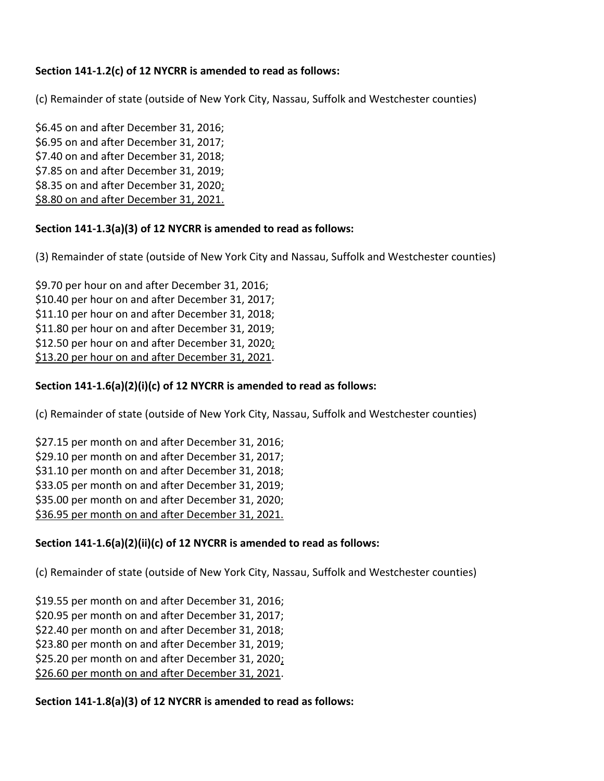# **Section 141-1.2(c) of 12 NYCRR is amended to read as follows:**

(c) Remainder of state (outside of New York City, Nassau, Suffolk and Westchester counties)

\$6.45 on and after December 31, 2016; \$6.95 on and after December 31, 2017; \$7.40 on and after December 31, 2018; \$7.85 on and after December 31, 2019; \$8.35 on and after December 31, 2020; \$8.80 on and after December 31, 2021.

# **Section 141-1.3(a)(3) of 12 NYCRR is amended to read as follows:**

(3) Remainder of state (outside of New York City and Nassau, Suffolk and Westchester counties)

\$9.70 per hour on and after December 31, 2016; \$10.40 per hour on and after December 31, 2017; \$11.10 per hour on and after December 31, 2018; \$11.80 per hour on and after December 31, 2019; \$12.50 per hour on and after December 31, 2020; \$13.20 per hour on and after December 31, 2021.

# **Section 141-1.6(a)(2)(i)(c) of 12 NYCRR is amended to read as follows:**

(c) Remainder of state (outside of New York City, Nassau, Suffolk and Westchester counties)

\$27.15 per month on and after December 31, 2016; \$29.10 per month on and after December 31, 2017; \$31.10 per month on and after December 31, 2018; \$33.05 per month on and after December 31, 2019; \$35.00 per month on and after December 31, 2020; \$36.95 per month on and after December 31, 2021.

# **Section 141-1.6(a)(2)(ii)(c) of 12 NYCRR is amended to read as follows:**

(c) Remainder of state (outside of New York City, Nassau, Suffolk and Westchester counties)

\$19.55 per month on and after December 31, 2016;

\$20.95 per month on and after December 31, 2017;

\$22.40 per month on and after December 31, 2018;

\$23.80 per month on and after December 31, 2019;

\$25.20 per month on and after December 31, 2020;

\$26.60 per month on and after December 31, 2021.

# **Section 141-1.8(a)(3) of 12 NYCRR is amended to read as follows:**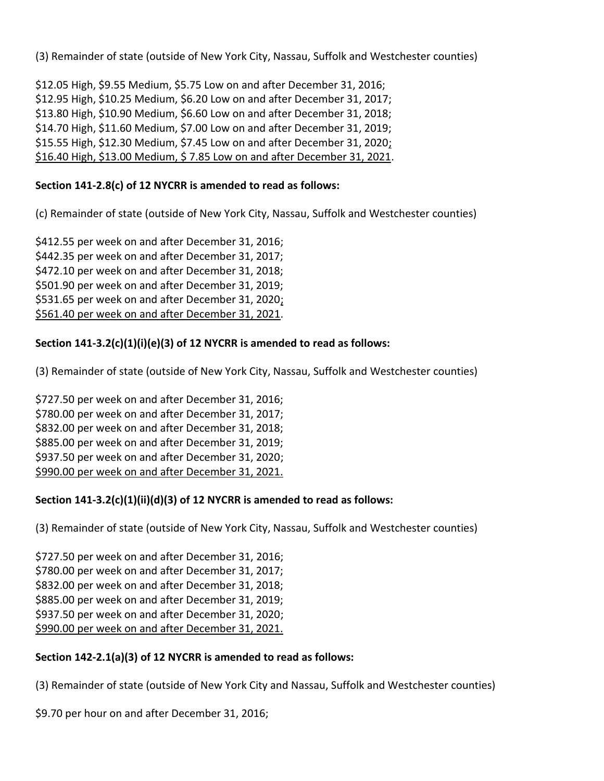(3) Remainder of state (outside of New York City, Nassau, Suffolk and Westchester counties)

\$12.05 High, \$9.55 Medium, \$5.75 Low on and after December 31, 2016; \$12.95 High, \$10.25 Medium, \$6.20 Low on and after December 31, 2017; \$13.80 High, \$10.90 Medium, \$6.60 Low on and after December 31, 2018; \$14.70 High, \$11.60 Medium, \$7.00 Low on and after December 31, 2019; \$15.55 High, \$12.30 Medium, \$7.45 Low on and after December 31, 2020; \$16.40 High, \$13.00 Medium, \$ 7.85 Low on and after December 31, 2021.

# **Section 141-2.8(c) of 12 NYCRR is amended to read as follows:**

(c) Remainder of state (outside of New York City, Nassau, Suffolk and Westchester counties)

\$412.55 per week on and after December 31, 2016; \$442.35 per week on and after December 31, 2017; \$472.10 per week on and after December 31, 2018; \$501.90 per week on and after December 31, 2019; \$531.65 per week on and after December 31, 2020; \$561.40 per week on and after December 31, 2021.

# **Section 141-3.2(c)(1)(i)(e)(3) of 12 NYCRR is amended to read as follows:**

(3) Remainder of state (outside of New York City, Nassau, Suffolk and Westchester counties)

\$727.50 per week on and after December 31, 2016; \$780.00 per week on and after December 31, 2017; \$832.00 per week on and after December 31, 2018; \$885.00 per week on and after December 31, 2019; \$937.50 per week on and after December 31, 2020; \$990.00 per week on and after December 31, 2021.

#### **Section 141-3.2(c)(1)(ii)(d)(3) of 12 NYCRR is amended to read as follows:**

(3) Remainder of state (outside of New York City, Nassau, Suffolk and Westchester counties)

\$727.50 per week on and after December 31, 2016; \$780.00 per week on and after December 31, 2017; \$832.00 per week on and after December 31, 2018; \$885.00 per week on and after December 31, 2019; \$937.50 per week on and after December 31, 2020; \$990.00 per week on and after December 31, 2021.

# **Section 142-2.1(a)(3) of 12 NYCRR is amended to read as follows:**

(3) Remainder of state (outside of New York City and Nassau, Suffolk and Westchester counties)

\$9.70 per hour on and after December 31, 2016;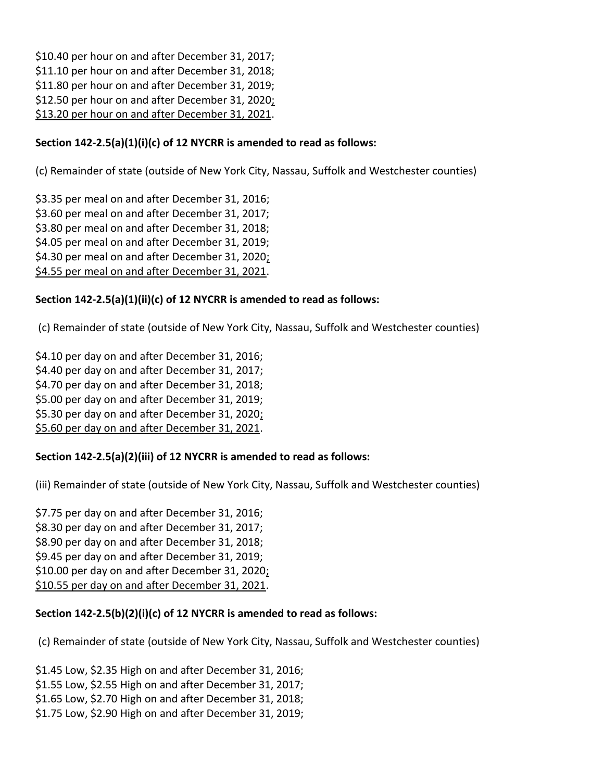\$10.40 per hour on and after December 31, 2017; \$11.10 per hour on and after December 31, 2018; \$11.80 per hour on and after December 31, 2019; \$12.50 per hour on and after December 31, 2020; \$13.20 per hour on and after December 31, 2021.

## **Section 142-2.5(a)(1)(i)(c) of 12 NYCRR is amended to read as follows:**

(c) Remainder of state (outside of New York City, Nassau, Suffolk and Westchester counties)

\$3.35 per meal on and after December 31, 2016; \$3.60 per meal on and after December 31, 2017; \$3.80 per meal on and after December 31, 2018; \$4.05 per meal on and after December 31, 2019; \$4.30 per meal on and after December 31, 2020; \$4.55 per meal on and after December 31, 2021.

#### **Section 142-2.5(a)(1)(ii)(c) of 12 NYCRR is amended to read as follows:**

(c) Remainder of state (outside of New York City, Nassau, Suffolk and Westchester counties)

\$4.10 per day on and after December 31, 2016; \$4.40 per day on and after December 31, 2017; \$4.70 per day on and after December 31, 2018; \$5.00 per day on and after December 31, 2019; \$5.30 per day on and after December 31, 2020; \$5.60 per day on and after December 31, 2021.

# **Section 142-2.5(a)(2)(iii) of 12 NYCRR is amended to read as follows:**

(iii) Remainder of state (outside of New York City, Nassau, Suffolk and Westchester counties)

\$7.75 per day on and after December 31, 2016; \$8.30 per day on and after December 31, 2017; \$8.90 per day on and after December 31, 2018; \$9.45 per day on and after December 31, 2019; \$10.00 per day on and after December 31, 2020; \$10.55 per day on and after December 31, 2021.

#### **Section 142-2.5(b)(2)(i)(c) of 12 NYCRR is amended to read as follows:**

(c) Remainder of state (outside of New York City, Nassau, Suffolk and Westchester counties)

\$1.45 Low, \$2.35 High on and after December 31, 2016;

- \$1.55 Low, \$2.55 High on and after December 31, 2017;
- \$1.65 Low, \$2.70 High on and after December 31, 2018;
- \$1.75 Low, \$2.90 High on and after December 31, 2019;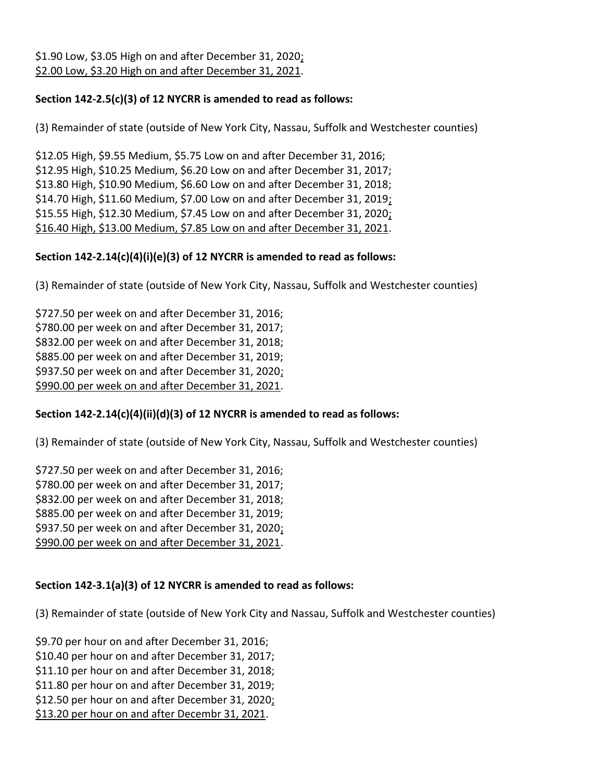# **Section 142-2.5(c)(3) of 12 NYCRR is amended to read as follows:**

(3) Remainder of state (outside of New York City, Nassau, Suffolk and Westchester counties)

\$12.05 High, \$9.55 Medium, \$5.75 Low on and after December 31, 2016; \$12.95 High, \$10.25 Medium, \$6.20 Low on and after December 31, 2017; \$13.80 High, \$10.90 Medium, \$6.60 Low on and after December 31, 2018; \$14.70 High, \$11.60 Medium, \$7.00 Low on and after December 31, 2019; \$15.55 High, \$12.30 Medium, \$7.45 Low on and after December 31, 2020; \$16.40 High, \$13.00 Medium, \$7.85 Low on and after December 31, 2021.

# **Section 142-2.14(c)(4)(i)(e)(3) of 12 NYCRR is amended to read as follows:**

(3) Remainder of state (outside of New York City, Nassau, Suffolk and Westchester counties)

\$727.50 per week on and after December 31, 2016; \$780.00 per week on and after December 31, 2017; \$832.00 per week on and after December 31, 2018; \$885.00 per week on and after December 31, 2019; \$937.50 per week on and after December 31, 2020; \$990.00 per week on and after December 31, 2021.

# **Section 142-2.14(c)(4)(ii)(d)(3) of 12 NYCRR is amended to read as follows:**

(3) Remainder of state (outside of New York City, Nassau, Suffolk and Westchester counties)

\$727.50 per week on and after December 31, 2016; \$780.00 per week on and after December 31, 2017; \$832.00 per week on and after December 31, 2018; \$885.00 per week on and after December 31, 2019; \$937.50 per week on and after December 31, 2020; \$990.00 per week on and after December 31, 2021.

# **Section 142-3.1(a)(3) of 12 NYCRR is amended to read as follows:**

(3) Remainder of state (outside of New York City and Nassau, Suffolk and Westchester counties)

\$9.70 per hour on and after December 31, 2016;

\$10.40 per hour on and after December 31, 2017;

\$11.10 per hour on and after December 31, 2018;

\$11.80 per hour on and after December 31, 2019;

\$12.50 per hour on and after December 31, 2020;

\$13.20 per hour on and after Decembr 31, 2021.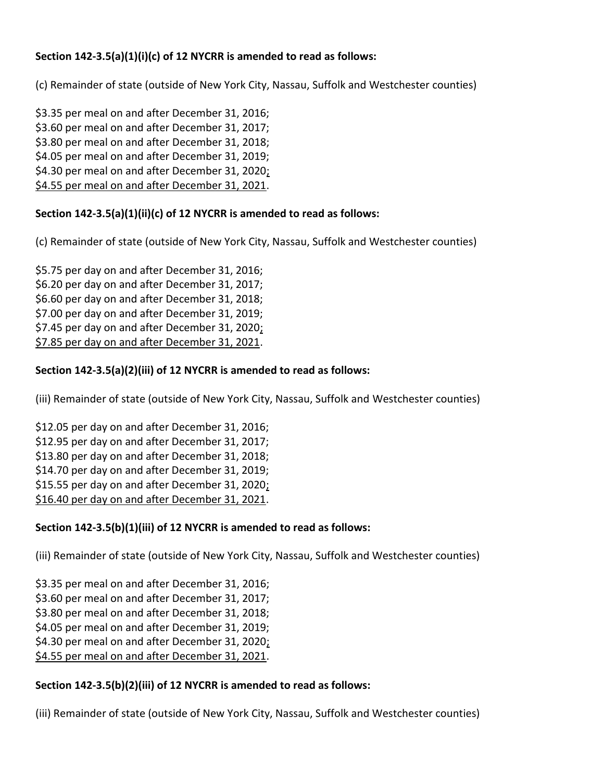# **Section 142-3.5(a)(1)(i)(c) of 12 NYCRR is amended to read as follows:**

(c) Remainder of state (outside of New York City, Nassau, Suffolk and Westchester counties)

\$3.35 per meal on and after December 31, 2016; \$3.60 per meal on and after December 31, 2017; \$3.80 per meal on and after December 31, 2018; \$4.05 per meal on and after December 31, 2019; \$4.30 per meal on and after December 31, 2020; \$4.55 per meal on and after December 31, 2021.

# **Section 142-3.5(a)(1)(ii)(c) of 12 NYCRR is amended to read as follows:**

(c) Remainder of state (outside of New York City, Nassau, Suffolk and Westchester counties)

\$5.75 per day on and after December 31, 2016; \$6.20 per day on and after December 31, 2017; \$6.60 per day on and after December 31, 2018; \$7.00 per day on and after December 31, 2019; \$7.45 per day on and after December 31, 2020; \$7.85 per day on and after December 31, 2021.

# **Section 142-3.5(a)(2)(iii) of 12 NYCRR is amended to read as follows:**

(iii) Remainder of state (outside of New York City, Nassau, Suffolk and Westchester counties)

\$12.05 per day on and after December 31, 2016; \$12.95 per day on and after December 31, 2017; \$13.80 per day on and after December 31, 2018; \$14.70 per day on and after December 31, 2019; \$15.55 per day on and after December 31, 2020; \$16.40 per day on and after December 31, 2021.

# **Section 142-3.5(b)(1)(iii) of 12 NYCRR is amended to read as follows:**

(iii) Remainder of state (outside of New York City, Nassau, Suffolk and Westchester counties)

\$3.35 per meal on and after December 31, 2016; \$3.60 per meal on and after December 31, 2017; \$3.80 per meal on and after December 31, 2018; \$4.05 per meal on and after December 31, 2019; \$4.30 per meal on and after December 31, 2020; \$4.55 per meal on and after December 31, 2021.

# **Section 142-3.5(b)(2)(iii) of 12 NYCRR is amended to read as follows:**

(iii) Remainder of state (outside of New York City, Nassau, Suffolk and Westchester counties)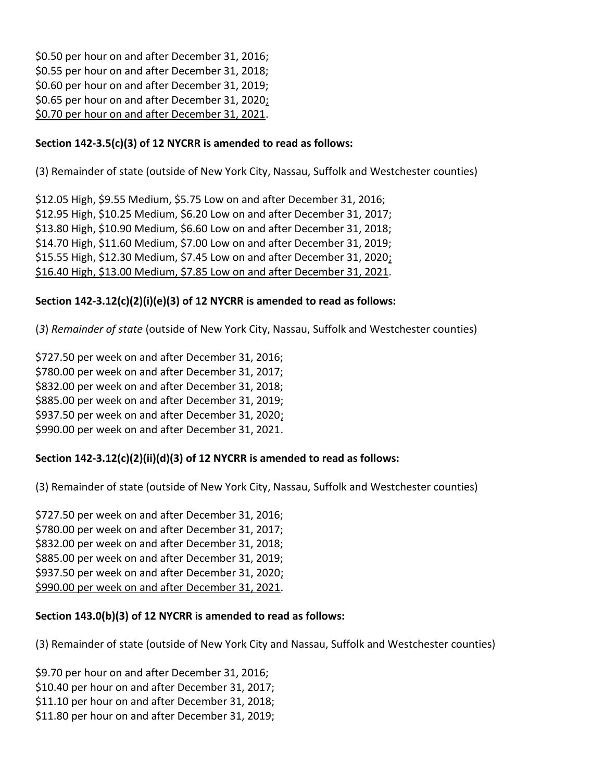\$0.50 per hour on and after December 31, 2016; \$0.55 per hour on and after December 31, 2018; \$0.60 per hour on and after December 31, 2019; \$0.65 per hour on and after December 31, 2020; \$0.70 per hour on and after December 31, 2021.

## **Section 142-3.5(c)(3) of 12 NYCRR is amended to read as follows:**

(3) Remainder of state (outside of New York City, Nassau, Suffolk and Westchester counties)

\$12.05 High, \$9.55 Medium, \$5.75 Low on and after December 31, 2016; \$12.95 High, \$10.25 Medium, \$6.20 Low on and after December 31, 2017; \$13.80 High, \$10.90 Medium, \$6.60 Low on and after December 31, 2018; \$14.70 High, \$11.60 Medium, \$7.00 Low on and after December 31, 2019; \$15.55 High, \$12.30 Medium, \$7.45 Low on and after December 31, 2020; \$16.40 High, \$13.00 Medium, \$7.85 Low on and after December 31, 2021.

## **Section 142-3.12(c)(2)(i)(e)(3) of 12 NYCRR is amended to read as follows:**

(*3*) *Remainder of state* (outside of New York City, Nassau, Suffolk and Westchester counties)

\$727.50 per week on and after December 31, 2016; \$780.00 per week on and after December 31, 2017; \$832.00 per week on and after December 31, 2018; \$885.00 per week on and after December 31, 2019; \$937.50 per week on and after December 31, 2020; \$990.00 per week on and after December 31, 2021.

# **Section 142-3.12(c)(2)(ii)(d)(3) of 12 NYCRR is amended to read as follows:**

(3) Remainder of state (outside of New York City, Nassau, Suffolk and Westchester counties)

\$727.50 per week on and after December 31, 2016; \$780.00 per week on and after December 31, 2017; \$832.00 per week on and after December 31, 2018; \$885.00 per week on and after December 31, 2019; \$937.50 per week on and after December 31, 2020; \$990.00 per week on and after December 31, 2021.

#### **Section 143.0(b)(3) of 12 NYCRR is amended to read as follows:**

(3) Remainder of state (outside of New York City and Nassau, Suffolk and Westchester counties)

\$9.70 per hour on and after December 31, 2016;

- \$10.40 per hour on and after December 31, 2017;
- \$11.10 per hour on and after December 31, 2018;
- \$11.80 per hour on and after December 31, 2019;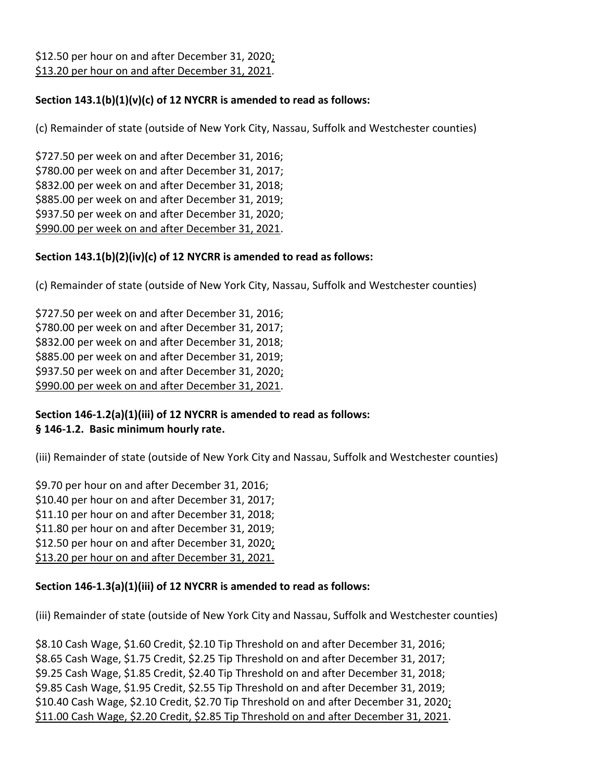\$12.50 per hour on and after December 31, 2020; \$13.20 per hour on and after December 31, 2021.

## **Section 143.1(b)(1)(v)(c) of 12 NYCRR is amended to read as follows:**

(c) Remainder of state (outside of New York City, Nassau, Suffolk and Westchester counties)

\$727.50 per week on and after December 31, 2016; \$780.00 per week on and after December 31, 2017; \$832.00 per week on and after December 31, 2018; \$885.00 per week on and after December 31, 2019; \$937.50 per week on and after December 31, 2020; \$990.00 per week on and after December 31, 2021.

#### **Section 143.1(b)(2)(iv)(c) of 12 NYCRR is amended to read as follows:**

(c) Remainder of state (outside of New York City, Nassau, Suffolk and Westchester counties)

\$727.50 per week on and after December 31, 2016; \$780.00 per week on and after December 31, 2017; \$832.00 per week on and after December 31, 2018; \$885.00 per week on and after December 31, 2019; \$937.50 per week on and after December 31, 2020; \$990.00 per week on and after December 31, 2021.

#### **Section 146-1.2(a)(1)(iii) of 12 NYCRR is amended to read as follows: § 146-1.2. Basic minimum hourly rate.**

(iii) Remainder of state (outside of New York City and Nassau, Suffolk and Westchester counties)

\$9.70 per hour on and after December 31, 2016; \$10.40 per hour on and after December 31, 2017; \$11.10 per hour on and after December 31, 2018; \$11.80 per hour on and after December 31, 2019; \$12.50 per hour on and after December 31, 2020; \$13.20 per hour on and after December 31, 2021.

#### **Section 146-1.3(a)(1)(iii) of 12 NYCRR is amended to read as follows:**

(iii) Remainder of state (outside of New York City and Nassau, Suffolk and Westchester counties)

\$8.10 Cash Wage, \$1.60 Credit, \$2.10 Tip Threshold on and after December 31, 2016; \$8.65 Cash Wage, \$1.75 Credit, \$2.25 Tip Threshold on and after December 31, 2017; \$9.25 Cash Wage, \$1.85 Credit, \$2.40 Tip Threshold on and after December 31, 2018; \$9.85 Cash Wage, \$1.95 Credit, \$2.55 Tip Threshold on and after December 31, 2019; \$10.40 Cash Wage, \$2.10 Credit, \$2.70 Tip Threshold on and after December 31, 2020; \$11.00 Cash Wage, \$2.20 Credit, \$2.85 Tip Threshold on and after December 31, 2021.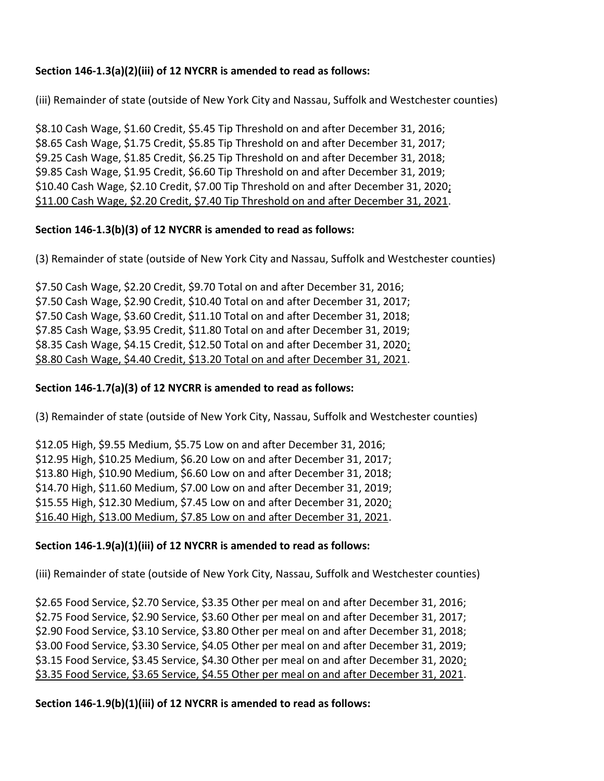## **Section 146-1.3(a)(2)(iii) of 12 NYCRR is amended to read as follows:**

(iii) Remainder of state (outside of New York City and Nassau, Suffolk and Westchester counties)

\$8.10 Cash Wage, \$1.60 Credit, \$5.45 Tip Threshold on and after December 31, 2016; \$8.65 Cash Wage, \$1.75 Credit, \$5.85 Tip Threshold on and after December 31, 2017; \$9.25 Cash Wage, \$1.85 Credit, \$6.25 Tip Threshold on and after December 31, 2018; \$9.85 Cash Wage, \$1.95 Credit, \$6.60 Tip Threshold on and after December 31, 2019; \$10.40 Cash Wage, \$2.10 Credit, \$7.00 Tip Threshold on and after December 31, 2020; \$11.00 Cash Wage, \$2.20 Credit, \$7.40 Tip Threshold on and after December 31, 2021.

## **Section 146-1.3(b)(3) of 12 NYCRR is amended to read as follows:**

(3) Remainder of state (outside of New York City and Nassau, Suffolk and Westchester counties)

\$7.50 Cash Wage, \$2.20 Credit, \$9.70 Total on and after December 31, 2016; \$7.50 Cash Wage, \$2.90 Credit, \$10.40 Total on and after December 31, 2017; \$7.50 Cash Wage, \$3.60 Credit, \$11.10 Total on and after December 31, 2018; \$7.85 Cash Wage, \$3.95 Credit, \$11.80 Total on and after December 31, 2019; \$8.35 Cash Wage, \$4.15 Credit, \$12.50 Total on and after December 31, 2020; \$8.80 Cash Wage, \$4.40 Credit, \$13.20 Total on and after December 31, 2021.

### **Section 146-1.7(a)(3) of 12 NYCRR is amended to read as follows:**

(3) Remainder of state (outside of New York City, Nassau, Suffolk and Westchester counties)

\$12.05 High, \$9.55 Medium, \$5.75 Low on and after December 31, 2016; \$12.95 High, \$10.25 Medium, \$6.20 Low on and after December 31, 2017; \$13.80 High, \$10.90 Medium, \$6.60 Low on and after December 31, 2018; \$14.70 High, \$11.60 Medium, \$7.00 Low on and after December 31, 2019; \$15.55 High, \$12.30 Medium, \$7.45 Low on and after December 31, 2020; \$16.40 High, \$13.00 Medium, \$7.85 Low on and after December 31, 2021.

#### **Section 146-1.9(a)(1)(iii) of 12 NYCRR is amended to read as follows:**

(iii) Remainder of state (outside of New York City, Nassau, Suffolk and Westchester counties)

\$2.65 Food Service, \$2.70 Service, \$3.35 Other per meal on and after December 31, 2016; \$2.75 Food Service, \$2.90 Service, \$3.60 Other per meal on and after December 31, 2017; \$2.90 Food Service, \$3.10 Service, \$3.80 Other per meal on and after December 31, 2018; \$3.00 Food Service, \$3.30 Service, \$4.05 Other per meal on and after December 31, 2019; \$3.15 Food Service, \$3.45 Service, \$4.30 Other per meal on and after December 31, 2020; \$3.35 Food Service, \$3.65 Service, \$4.55 Other per meal on and after December 31, 2021.

#### **Section 146-1.9(b)(1)(iii) of 12 NYCRR is amended to read as follows:**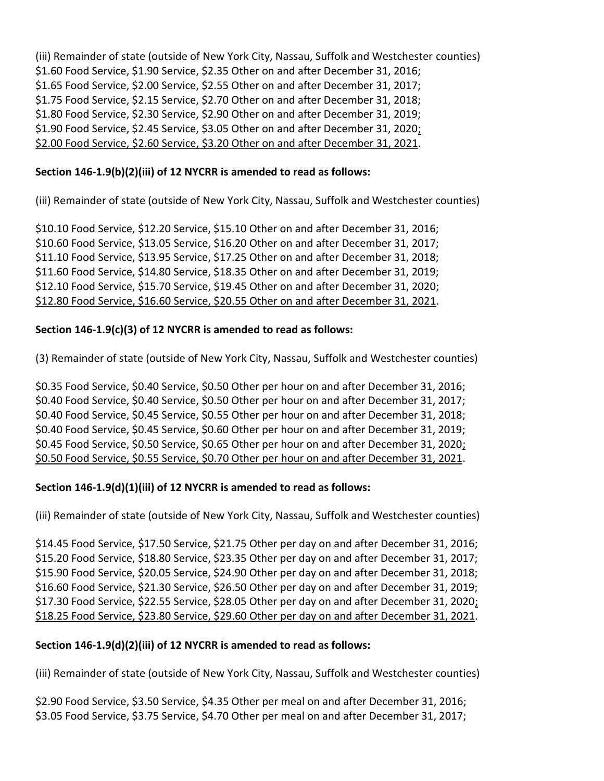(iii) Remainder of state (outside of New York City, Nassau, Suffolk and Westchester counties) \$1.60 Food Service, \$1.90 Service, \$2.35 Other on and after December 31, 2016; \$1.65 Food Service, \$2.00 Service, \$2.55 Other on and after December 31, 2017; \$1.75 Food Service, \$2.15 Service, \$2.70 Other on and after December 31, 2018; \$1.80 Food Service, \$2.30 Service, \$2.90 Other on and after December 31, 2019; \$1.90 Food Service, \$2.45 Service, \$3.05 Other on and after December 31, 2020; \$2.00 Food Service, \$2.60 Service, \$3.20 Other on and after December 31, 2021.

## **Section 146-1.9(b)(2)(iii) of 12 NYCRR is amended to read as follows:**

(iii) Remainder of state (outside of New York City, Nassau, Suffolk and Westchester counties)

\$10.10 Food Service, \$12.20 Service, \$15.10 Other on and after December 31, 2016; \$10.60 Food Service, \$13.05 Service, \$16.20 Other on and after December 31, 2017; \$11.10 Food Service, \$13.95 Service, \$17.25 Other on and after December 31, 2018; \$11.60 Food Service, \$14.80 Service, \$18.35 Other on and after December 31, 2019; \$12.10 Food Service, \$15.70 Service, \$19.45 Other on and after December 31, 2020; \$12.80 Food Service, \$16.60 Service, \$20.55 Other on and after December 31, 2021.

## **Section 146-1.9(c)(3) of 12 NYCRR is amended to read as follows:**

(3) Remainder of state (outside of New York City, Nassau, Suffolk and Westchester counties)

\$0.35 Food Service, \$0.40 Service, \$0.50 Other per hour on and after December 31, 2016; \$0.40 Food Service, \$0.40 Service, \$0.50 Other per hour on and after December 31, 2017; \$0.40 Food Service, \$0.45 Service, \$0.55 Other per hour on and after December 31, 2018; \$0.40 Food Service, \$0.45 Service, \$0.60 Other per hour on and after December 31, 2019; \$0.45 Food Service, \$0.50 Service, \$0.65 Other per hour on and after December 31, 2020; \$0.50 Food Service, \$0.55 Service, \$0.70 Other per hour on and after December 31, 2021.

# **Section 146-1.9(d)(1)(iii) of 12 NYCRR is amended to read as follows:**

(iii) Remainder of state (outside of New York City, Nassau, Suffolk and Westchester counties)

\$14.45 Food Service, \$17.50 Service, \$21.75 Other per day on and after December 31, 2016; \$15.20 Food Service, \$18.80 Service, \$23.35 Other per day on and after December 31, 2017; \$15.90 Food Service, \$20.05 Service, \$24.90 Other per day on and after December 31, 2018; \$16.60 Food Service, \$21.30 Service, \$26.50 Other per day on and after December 31, 2019; \$17.30 Food Service, \$22.55 Service, \$28.05 Other per day on and after December 31, 2020; \$18.25 Food Service, \$23.80 Service, \$29.60 Other per day on and after December 31, 2021.

#### **Section 146-1.9(d)(2)(iii) of 12 NYCRR is amended to read as follows:**

(iii) Remainder of state (outside of New York City, Nassau, Suffolk and Westchester counties)

\$2.90 Food Service, \$3.50 Service, \$4.35 Other per meal on and after December 31, 2016; \$3.05 Food Service, \$3.75 Service, \$4.70 Other per meal on and after December 31, 2017;